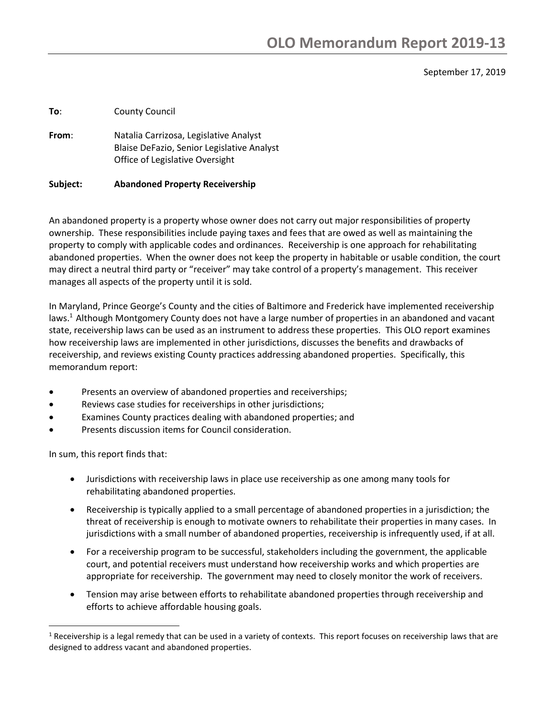### September 17, 2019

**To**: County Council

**From**: Natalia Carrizosa, Legislative Analyst Blaise DeFazio, Senior Legislative Analyst Office of Legislative Oversight

#### **Subject: Abandoned Property Receivership**

An abandoned property is a property whose owner does not carry out major responsibilities of property ownership. These responsibilities include paying taxes and fees that are owed as well as maintaining the property to comply with applicable codes and ordinances. Receivership is one approach for rehabilitating abandoned properties. When the owner does not keep the property in habitable or usable condition, the court may direct a neutral third party or "receiver" may take control of a property's management. This receiver manages all aspects of the property until it is sold.

In Maryland, Prince George's County and the cities of Baltimore and Frederick have implemented receivership laws.<sup>1</sup> Although Montgomery County does not have a large number of properties in an abandoned and vacant state, receivership laws can be used as an instrument to address these properties. This OLO report examines how receivership laws are implemented in other jurisdictions, discusses the benefits and drawbacks of receivership, and reviews existing County practices addressing abandoned properties. Specifically, this memorandum report:

- Presents an overview of abandoned properties and receiverships;
- Reviews case studies for receiverships in other jurisdictions;
- Examines County practices dealing with abandoned properties; and
- Presents discussion items for Council consideration.

In sum, this report finds that:

- Jurisdictions with receivership laws in place use receivership as one among many tools for rehabilitating abandoned properties.
- Receivership is typically applied to a small percentage of abandoned properties in a jurisdiction; the threat of receivership is enough to motivate owners to rehabilitate their properties in many cases. In jurisdictions with a small number of abandoned properties, receivership is infrequently used, if at all.
- For a receivership program to be successful, stakeholders including the government, the applicable court, and potential receivers must understand how receivership works and which properties are appropriate for receivership. The government may need to closely monitor the work of receivers.
- Tension may arise between efforts to rehabilitate abandoned properties through receivership and efforts to achieve affordable housing goals.

 $1$  Receivership is a legal remedy that can be used in a variety of contexts. This report focuses on receivership laws that are designed to address vacant and abandoned properties.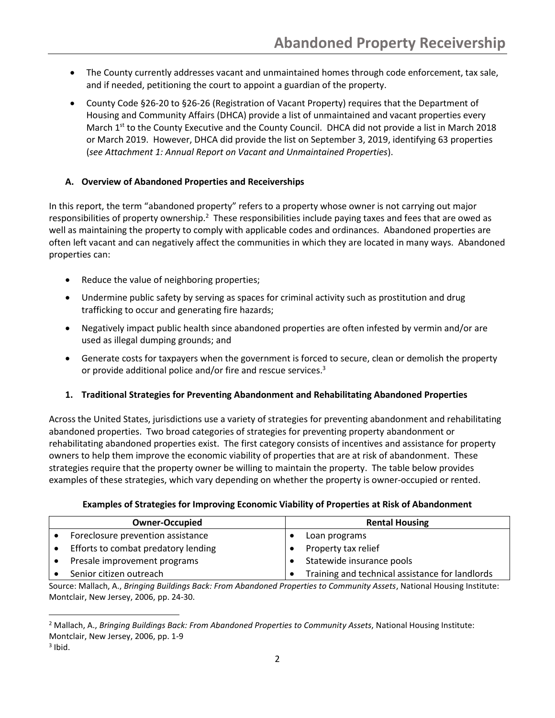- The County currently addresses vacant and unmaintained homes through code enforcement, tax sale, and if needed, petitioning the court to appoint a guardian of the property.
- County Code §26-20 to §26-26 (Registration of Vacant Property) requires that the Department of Housing and Community Affairs (DHCA) provide a list of unmaintained and vacant properties every March  $1^{st}$  to the County Executive and the County Council. DHCA did not provide a list in March 2018 or March 2019. However, DHCA did provide the list on September 3, 2019, identifying 63 properties (*see Attachment 1: Annual Report on Vacant and Unmaintained Properties*).

## **A. Overview of Abandoned Properties and Receiverships**

In this report, the term "abandoned property" refers to a property whose owner is not carrying out major responsibilities of property ownership.<sup>2</sup> These responsibilities include paying taxes and fees that are owed as well as maintaining the property to comply with applicable codes and ordinances. Abandoned properties are often left vacant and can negatively affect the communities in which they are located in many ways. Abandoned properties can:

- Reduce the value of neighboring properties;
- Undermine public safety by serving as spaces for criminal activity such as prostitution and drug trafficking to occur and generating fire hazards;
- Negatively impact public health since abandoned properties are often infested by vermin and/or are used as illegal dumping grounds; and
- Generate costs for taxpayers when the government is forced to secure, clean or demolish the property or provide additional police and/or fire and rescue services.<sup>3</sup>
- **1. Traditional Strategies for Preventing Abandonment and Rehabilitating Abandoned Properties**

Across the United States, jurisdictions use a variety of strategies for preventing abandonment and rehabilitating abandoned properties. Two broad categories of strategies for preventing property abandonment or rehabilitating abandoned properties exist. The first category consists of incentives and assistance for property owners to help them improve the economic viability of properties that are at risk of abandonment. These strategies require that the property owner be willing to maintain the property. The table below provides examples of these strategies, which vary depending on whether the property is owner-occupied or rented.

### **Examples of Strategies for Improving Economic Viability of Properties at Risk of Abandonment**

| <b>Owner-Occupied</b>               | <b>Rental Housing</b>                           |  |  |
|-------------------------------------|-------------------------------------------------|--|--|
| Foreclosure prevention assistance   | Loan programs                                   |  |  |
| Efforts to combat predatory lending | Property tax relief                             |  |  |
| Presale improvement programs        | Statewide insurance pools                       |  |  |
| Senior citizen outreach             | Training and technical assistance for landlords |  |  |

Source: Mallach, A., *Bringing Buildings Back: From Abandoned Properties to Community Assets*, National Housing Institute: Montclair, New Jersey, 2006, pp. 24-30.

<sup>2</sup> Mallach, A., *Bringing Buildings Back: From Abandoned Properties to Community Assets*, National Housing Institute: Montclair, New Jersey, 2006, pp. 1-9

 $3$  Ibid.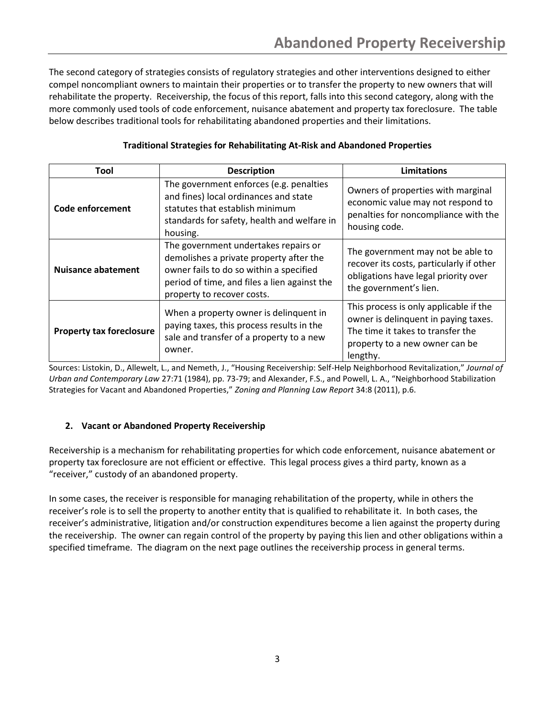The second category of strategies consists of regulatory strategies and other interventions designed to either compel noncompliant owners to maintain their properties or to transfer the property to new owners that will rehabilitate the property. Receivership, the focus of this report, falls into this second category, along with the more commonly used tools of code enforcement, nuisance abatement and property tax foreclosure. The table below describes traditional tools for rehabilitating abandoned properties and their limitations.

| Tool                            | <b>Description</b>                                                                                                                                                                                       | Limitations                                                                                                                                                       |  |
|---------------------------------|----------------------------------------------------------------------------------------------------------------------------------------------------------------------------------------------------------|-------------------------------------------------------------------------------------------------------------------------------------------------------------------|--|
| Code enforcement                | The government enforces (e.g. penalties<br>and fines) local ordinances and state<br>statutes that establish minimum<br>standards for safety, health and welfare in<br>housing.                           | Owners of properties with marginal<br>economic value may not respond to<br>penalties for noncompliance with the<br>housing code.                                  |  |
| <b>Nuisance abatement</b>       | The government undertakes repairs or<br>demolishes a private property after the<br>owner fails to do so within a specified<br>period of time, and files a lien against the<br>property to recover costs. | The government may not be able to<br>recover its costs, particularly if other<br>obligations have legal priority over<br>the government's lien.                   |  |
| <b>Property tax foreclosure</b> | When a property owner is delinquent in<br>paying taxes, this process results in the<br>sale and transfer of a property to a new<br>owner.                                                                | This process is only applicable if the<br>owner is delinquent in paying taxes.<br>The time it takes to transfer the<br>property to a new owner can be<br>lengthy. |  |

### **Traditional Strategies for Rehabilitating At-Risk and Abandoned Properties**

Sources: Listokin, D., Allewelt, L., and Nemeth, J., "Housing Receivership: Self-Help Neighborhood Revitalization," *Journal of Urban and Contemporary Law* 27:71 (1984), pp. 73-79; and Alexander, F.S., and Powell, L. A., "Neighborhood Stabilization Strategies for Vacant and Abandoned Properties," *Zoning and Planning Law Report* 34:8 (2011), p.6.

## **2. Vacant or Abandoned Property Receivership**

Receivership is a mechanism for rehabilitating properties for which code enforcement, nuisance abatement or property tax foreclosure are not efficient or effective. This legal process gives a third party, known as a "receiver," custody of an abandoned property.

In some cases, the receiver is responsible for managing rehabilitation of the property, while in others the receiver's role is to sell the property to another entity that is qualified to rehabilitate it. In both cases, the receiver's administrative, litigation and/or construction expenditures become a lien against the property during the receivership. The owner can regain control of the property by paying this lien and other obligations within a specified timeframe. The diagram on the next page outlines the receivership process in general terms.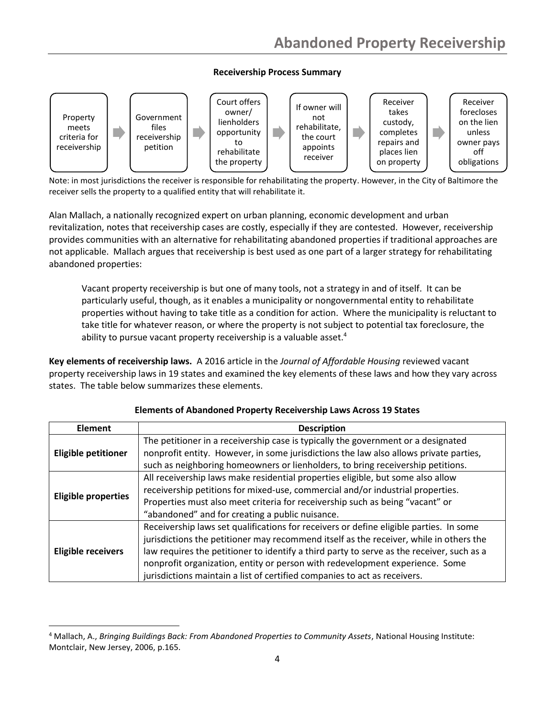## **Receivership Process Summary**



Note: in most jurisdictions the receiver is responsible for rehabilitating the property. However, in the City of Baltimore the receiver sells the property to a qualified entity that will rehabilitate it.

Alan Mallach, a nationally recognized expert on urban planning, economic development and urban revitalization, notes that receivership cases are costly, especially if they are contested. However, receivership provides communities with an alternative for rehabilitating abandoned properties if traditional approaches are not applicable. Mallach argues that receivership is best used as one part of a larger strategy for rehabilitating abandoned properties:

Vacant property receivership is but one of many tools, not a strategy in and of itself. It can be particularly useful, though, as it enables a municipality or nongovernmental entity to rehabilitate properties without having to take title as a condition for action. Where the municipality is reluctant to take title for whatever reason, or where the property is not subject to potential tax foreclosure, the ability to pursue vacant property receivership is a valuable asset.<sup>4</sup>

**Key elements of receivership laws.** A 2016 article in the *Journal of Affordable Housing* reviewed vacant property receivership laws in 19 states and examined the key elements of these laws and how they vary across states. The table below summarizes these elements.

| <b>Description</b><br><b>Element</b> |                                                                                                                                                                                                                                                                                                                                                                                                                                            |  |  |  |
|--------------------------------------|--------------------------------------------------------------------------------------------------------------------------------------------------------------------------------------------------------------------------------------------------------------------------------------------------------------------------------------------------------------------------------------------------------------------------------------------|--|--|--|
| <b>Eligible petitioner</b>           | The petitioner in a receivership case is typically the government or a designated<br>nonprofit entity. However, in some jurisdictions the law also allows private parties,<br>such as neighboring homeowners or lienholders, to bring receivership petitions.                                                                                                                                                                              |  |  |  |
| <b>Eligible properties</b>           | All receivership laws make residential properties eligible, but some also allow<br>receivership petitions for mixed-use, commercial and/or industrial properties.<br>Properties must also meet criteria for receivership such as being "vacant" or<br>"abandoned" and for creating a public nuisance.                                                                                                                                      |  |  |  |
| <b>Eligible receivers</b>            | Receivership laws set qualifications for receivers or define eligible parties. In some<br>jurisdictions the petitioner may recommend itself as the receiver, while in others the<br>law requires the petitioner to identify a third party to serve as the receiver, such as a<br>nonprofit organization, entity or person with redevelopment experience. Some<br>jurisdictions maintain a list of certified companies to act as receivers. |  |  |  |

### **Elements of Abandoned Property Receivership Laws Across 19 States**

<sup>4</sup> Mallach, A., *Bringing Buildings Back: From Abandoned Properties to Community Assets*, National Housing Institute: Montclair, New Jersey, 2006, p.165.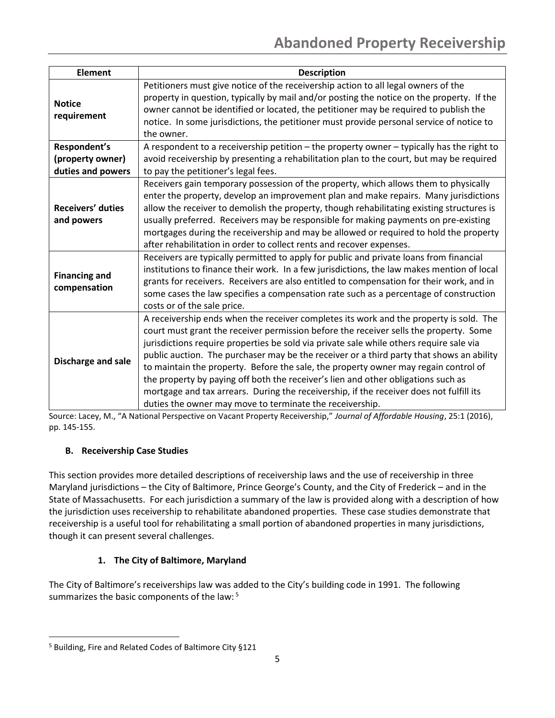| <b>Element</b>                                        | <b>Description</b>                                                                                                                                                                                                                                                                                                                                                                                                                                                                                                                                                                                                                                                                                        |
|-------------------------------------------------------|-----------------------------------------------------------------------------------------------------------------------------------------------------------------------------------------------------------------------------------------------------------------------------------------------------------------------------------------------------------------------------------------------------------------------------------------------------------------------------------------------------------------------------------------------------------------------------------------------------------------------------------------------------------------------------------------------------------|
| <b>Notice</b><br>requirement                          | Petitioners must give notice of the receivership action to all legal owners of the<br>property in question, typically by mail and/or posting the notice on the property. If the<br>owner cannot be identified or located, the petitioner may be required to publish the<br>notice. In some jurisdictions, the petitioner must provide personal service of notice to<br>the owner.                                                                                                                                                                                                                                                                                                                         |
| Respondent's<br>(property owner)<br>duties and powers | A respondent to a receivership petition - the property owner - typically has the right to<br>avoid receivership by presenting a rehabilitation plan to the court, but may be required<br>to pay the petitioner's legal fees.                                                                                                                                                                                                                                                                                                                                                                                                                                                                              |
| Receivers' duties<br>and powers                       | Receivers gain temporary possession of the property, which allows them to physically<br>enter the property, develop an improvement plan and make repairs. Many jurisdictions<br>allow the receiver to demolish the property, though rehabilitating existing structures is<br>usually preferred. Receivers may be responsible for making payments on pre-existing<br>mortgages during the receivership and may be allowed or required to hold the property<br>after rehabilitation in order to collect rents and recover expenses.                                                                                                                                                                         |
| <b>Financing and</b><br>compensation                  | Receivers are typically permitted to apply for public and private loans from financial<br>institutions to finance their work. In a few jurisdictions, the law makes mention of local<br>grants for receivers. Receivers are also entitled to compensation for their work, and in<br>some cases the law specifies a compensation rate such as a percentage of construction<br>costs or of the sale price.                                                                                                                                                                                                                                                                                                  |
| Discharge and sale                                    | A receivership ends when the receiver completes its work and the property is sold. The<br>court must grant the receiver permission before the receiver sells the property. Some<br>jurisdictions require properties be sold via private sale while others require sale via<br>public auction. The purchaser may be the receiver or a third party that shows an ability<br>to maintain the property. Before the sale, the property owner may regain control of<br>the property by paying off both the receiver's lien and other obligations such as<br>mortgage and tax arrears. During the receivership, if the receiver does not fulfill its<br>duties the owner may move to terminate the receivership. |

Source: Lacey, M., "A National Perspective on Vacant Property Receivership," *Journal of Affordable Housing*, 25:1 (2016), pp. 145-155.

# **B. Receivership Case Studies**

This section provides more detailed descriptions of receivership laws and the use of receivership in three Maryland jurisdictions – the City of Baltimore, Prince George's County, and the City of Frederick – and in the State of Massachusetts. For each jurisdiction a summary of the law is provided along with a description of how the jurisdiction uses receivership to rehabilitate abandoned properties. These case studies demonstrate that receivership is a useful tool for rehabilitating a small portion of abandoned properties in many jurisdictions, though it can present several challenges.

# **1. The City of Baltimore, Maryland**

The City of Baltimore's receiverships law was added to the City's building code in 1991. The following summarizes the basic components of the law:<sup>5</sup>

<sup>5</sup> Building, Fire and Related Codes of Baltimore City §121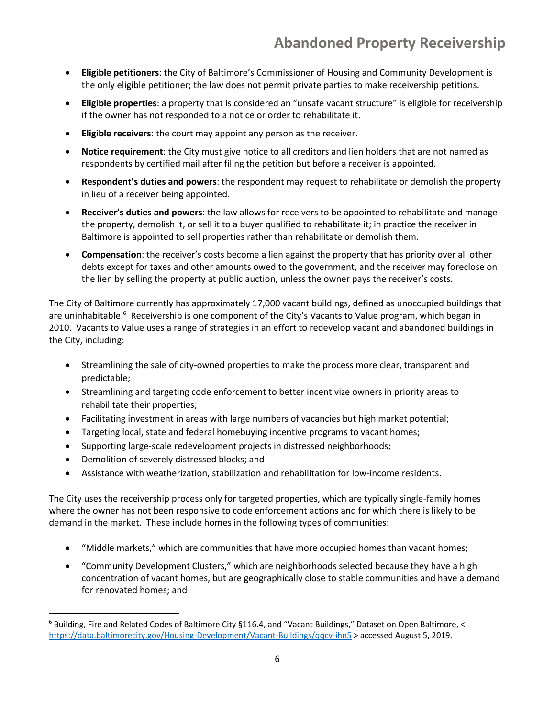- **Eligible petitioners**: the City of Baltimore's Commissioner of Housing and Community Development is the only eligible petitioner; the law does not permit private parties to make receivership petitions.
- **Eligible properties**: a property that is considered an "unsafe vacant structure" is eligible for receivership if the owner has not responded to a notice or order to rehabilitate it.
- **Eligible receivers**: the court may appoint any person as the receiver.
- **Notice requirement**: the City must give notice to all creditors and lien holders that are not named as respondents by certified mail after filing the petition but before a receiver is appointed.
- **Respondent's duties and powers**: the respondent may request to rehabilitate or demolish the property in lieu of a receiver being appointed.
- **Receiver's duties and powers**: the law allows for receivers to be appointed to rehabilitate and manage the property, demolish it, or sell it to a buyer qualified to rehabilitate it; in practice the receiver in Baltimore is appointed to sell properties rather than rehabilitate or demolish them.
- **Compensation**: the receiver's costs become a lien against the property that has priority over all other debts except for taxes and other amounts owed to the government, and the receiver may foreclose on the lien by selling the property at public auction, unless the owner pays the receiver's costs.

The City of Baltimore currently has approximately 17,000 vacant buildings, defined as unoccupied buildings that are uninhabitable.<sup>6</sup> Receivership is one component of the City's Vacants to Value program, which began in 2010. Vacants to Value uses a range of strategies in an effort to redevelop vacant and abandoned buildings in the City, including:

- Streamlining the sale of city-owned properties to make the process more clear, transparent and predictable;
- Streamlining and targeting code enforcement to better incentivize owners in priority areas to rehabilitate their properties;
- Facilitating investment in areas with large numbers of vacancies but high market potential;
- Targeting local, state and federal homebuying incentive programs to vacant homes;
- Supporting large-scale redevelopment projects in distressed neighborhoods;
- Demolition of severely distressed blocks; and
- Assistance with weatherization, stabilization and rehabilitation for low-income residents.

The City uses the receivership process only for targeted properties, which are typically single-family homes where the owner has not been responsive to code enforcement actions and for which there is likely to be demand in the market. These include homes in the following types of communities:

- "Middle markets," which are communities that have more occupied homes than vacant homes;
- "Community Development Clusters," which are neighborhoods selected because they have a high concentration of vacant homes, but are geographically close to stable communities and have a demand for renovated homes; and

 $6$  Building, Fire and Related Codes of Baltimore City §116.4, and "Vacant Buildings," Dataset on Open Baltimore, < <https://data.baltimorecity.gov/Housing-Development/Vacant-Buildings/qqcv-ihn5> > accessed August 5, 2019.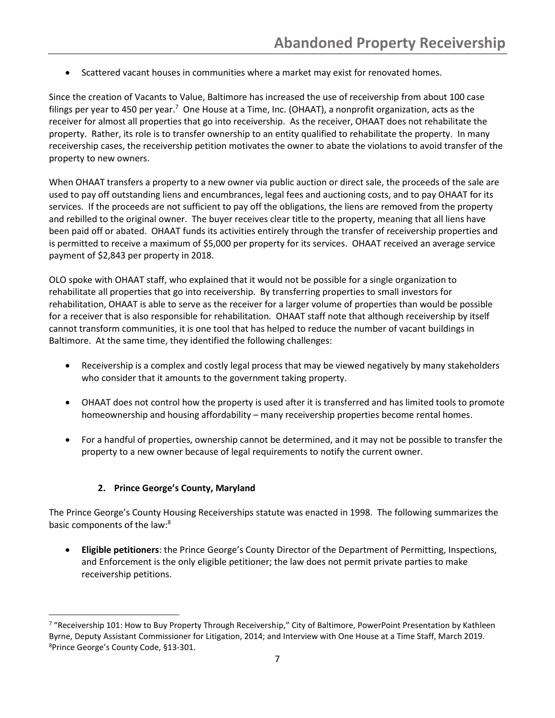• Scattered vacant houses in communities where a market may exist for renovated homes.

Since the creation of Vacants to Value, Baltimore has increased the use of receivership from about 100 case filings per year to 450 per year.<sup>7</sup> One House at a Time, Inc. (OHAAT), a nonprofit organization, acts as the receiver for almost all properties that go into receivership. As the receiver, OHAAT does not rehabilitate the property. Rather, its role is to transfer ownership to an entity qualified to rehabilitate the property. In many receivership cases, the receivership petition motivates the owner to abate the violations to avoid transfer of the property to new owners.

When OHAAT transfers a property to a new owner via public auction or direct sale, the proceeds of the sale are used to pay off outstanding liens and encumbrances, legal fees and auctioning costs, and to pay OHAAT for its services. If the proceeds are not sufficient to pay off the obligations, the liens are removed from the property and rebilled to the original owner. The buyer receives clear title to the property, meaning that all liens have been paid off or abated. OHAAT funds its activities entirely through the transfer of receivership properties and is permitted to receive a maximum of \$5,000 per property for its services. OHAAT received an average service payment of \$2,843 per property in 2018.

OLO spoke with OHAAT staff, who explained that it would not be possible for a single organization to rehabilitate all properties that go into receivership. By transferring properties to small investors for rehabilitation, OHAAT is able to serve as the receiver for a larger volume of properties than would be possible for a receiver that is also responsible for rehabilitation. OHAAT staff note that although receivership by itself cannot transform communities, it is one tool that has helped to reduce the number of vacant buildings in Baltimore. At the same time, they identified the following challenges:

- Receivership is a complex and costly legal process that may be viewed negatively by many stakeholders who consider that it amounts to the government taking property.
- OHAAT does not control how the property is used after it is transferred and has limited tools to promote homeownership and housing affordability – many receivership properties become rental homes.
- For a handful of properties, ownership cannot be determined, and it may not be possible to transfer the property to a new owner because of legal requirements to notify the current owner.

## **2. Prince George's County, Maryland**

The Prince George's County Housing Receiverships statute was enacted in 1998. The following summarizes the basic components of the law:<sup>8</sup>

• **Eligible petitioners**: the Prince George's County Director of the Department of Permitting, Inspections, and Enforcement is the only eligible petitioner; the law does not permit private parties to make receivership petitions.

<sup>&</sup>lt;sup>7</sup> "Receivership 101: How to Buy Property Through Receivership," City of Baltimore, PowerPoint Presentation by Kathleen Byrne, Deputy Assistant Commissioner for Litigation, 2014; and Interview with One House at a Time Staff, March 2019. <sup>8</sup>Prince George's County Code, §13-301.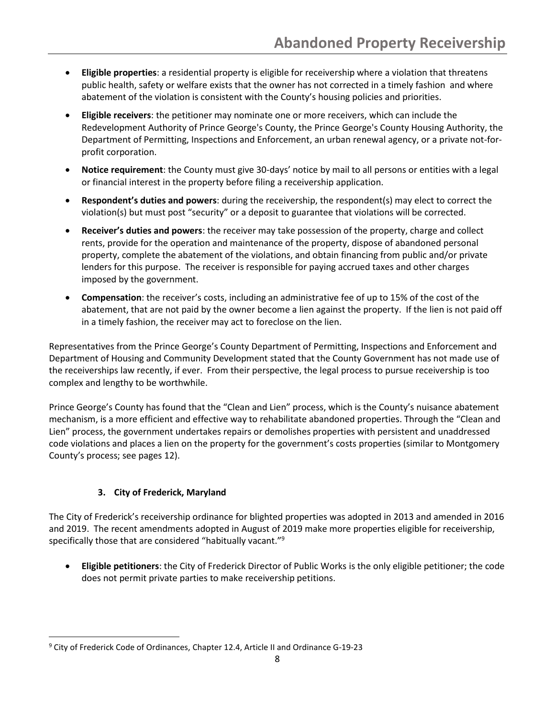- **Eligible properties**: a residential property is eligible for receivership where a violation that threatens public health, safety or welfare exists that the owner has not corrected in a timely fashion and where abatement of the violation is consistent with the County's housing policies and priorities.
- **Eligible receivers**: the petitioner may nominate one or more receivers, which can include the Redevelopment Authority of Prince George's County, the Prince George's County Housing Authority, the Department of Permitting, Inspections and Enforcement, an urban renewal agency, or a private not-forprofit corporation.
- **Notice requirement**: the County must give 30-days' notice by mail to all persons or entities with a legal or financial interest in the property before filing a receivership application.
- **Respondent's duties and powers**: during the receivership, the respondent(s) may elect to correct the violation(s) but must post "security" or a deposit to guarantee that violations will be corrected.
- **Receiver's duties and powers**: the receiver may take possession of the property, charge and collect rents, provide for the operation and maintenance of the property, dispose of abandoned personal property, complete the abatement of the violations, and obtain financing from public and/or private lenders for this purpose. The receiver is responsible for paying accrued taxes and other charges imposed by the government.
- **Compensation**: the receiver's costs, including an administrative fee of up to 15% of the cost of the abatement, that are not paid by the owner become a lien against the property. If the lien is not paid off in a timely fashion, the receiver may act to foreclose on the lien.

Representatives from the Prince George's County Department of Permitting, Inspections and Enforcement and Department of Housing and Community Development stated that the County Government has not made use of the receiverships law recently, if ever. From their perspective, the legal process to pursue receivership is too complex and lengthy to be worthwhile.

Prince George's County has found that the "Clean and Lien" process, which is the County's nuisance abatement mechanism, is a more efficient and effective way to rehabilitate abandoned properties. Through the "Clean and Lien" process, the government undertakes repairs or demolishes properties with persistent and unaddressed code violations and places a lien on the property for the government's costs properties (similar to Montgomery County's process; see pages 12).

## **3. City of Frederick, Maryland**

The City of Frederick's receivership ordinance for blighted properties was adopted in 2013 and amended in 2016 and 2019. The recent amendments adopted in August of 2019 make more properties eligible for receivership, specifically those that are considered "habitually vacant."<sup>9</sup>

• **Eligible petitioners**: the City of Frederick Director of Public Works is the only eligible petitioner; the code does not permit private parties to make receivership petitions.

<sup>&</sup>lt;sup>9</sup> City of Frederick Code of Ordinances, Chapter 12.4, Article II and Ordinance G-19-23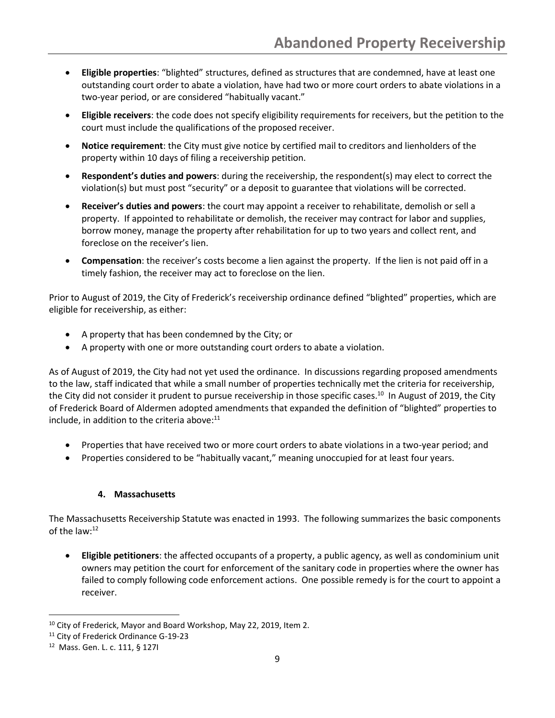- **Eligible properties**: "blighted" structures, defined as structures that are condemned, have at least one outstanding court order to abate a violation, have had two or more court orders to abate violations in a two-year period, or are considered "habitually vacant."
- **Eligible receivers**: the code does not specify eligibility requirements for receivers, but the petition to the court must include the qualifications of the proposed receiver.
- **Notice requirement**: the City must give notice by certified mail to creditors and lienholders of the property within 10 days of filing a receivership petition.
- **Respondent's duties and powers**: during the receivership, the respondent(s) may elect to correct the violation(s) but must post "security" or a deposit to guarantee that violations will be corrected.
- **Receiver's duties and powers**: the court may appoint a receiver to rehabilitate, demolish or sell a property. If appointed to rehabilitate or demolish, the receiver may contract for labor and supplies, borrow money, manage the property after rehabilitation for up to two years and collect rent, and foreclose on the receiver's lien.
- **Compensation**: the receiver's costs become a lien against the property. If the lien is not paid off in a timely fashion, the receiver may act to foreclose on the lien.

Prior to August of 2019, the City of Frederick's receivership ordinance defined "blighted" properties, which are eligible for receivership, as either:

- A property that has been condemned by the City; or
- A property with one or more outstanding court orders to abate a violation.

As of August of 2019, the City had not yet used the ordinance. In discussions regarding proposed amendments to the law, staff indicated that while a small number of properties technically met the criteria for receivership, the City did not consider it prudent to pursue receivership in those specific cases.<sup>10</sup> In August of 2019, the City of Frederick Board of Aldermen adopted amendments that expanded the definition of "blighted" properties to include, in addition to the criteria above:<sup>11</sup>

- Properties that have received two or more court orders to abate violations in a two-year period; and
- Properties considered to be "habitually vacant," meaning unoccupied for at least four years.

### **4. Massachusetts**

The Massachusetts Receivership Statute was enacted in 1993. The following summarizes the basic components of the law: $12$ 

• **Eligible petitioners**: the affected occupants of a property, a public agency, as well as condominium unit owners may petition the court for enforcement of the sanitary code in properties where the owner has failed to comply following code enforcement actions. One possible remedy is for the court to appoint a receiver.

<sup>&</sup>lt;sup>10</sup> City of Frederick, Mayor and Board Workshop, May 22, 2019, Item 2.

<sup>&</sup>lt;sup>11</sup> City of Frederick Ordinance G-19-23

<sup>12</sup> Mass. Gen. L. c. 111, § 127I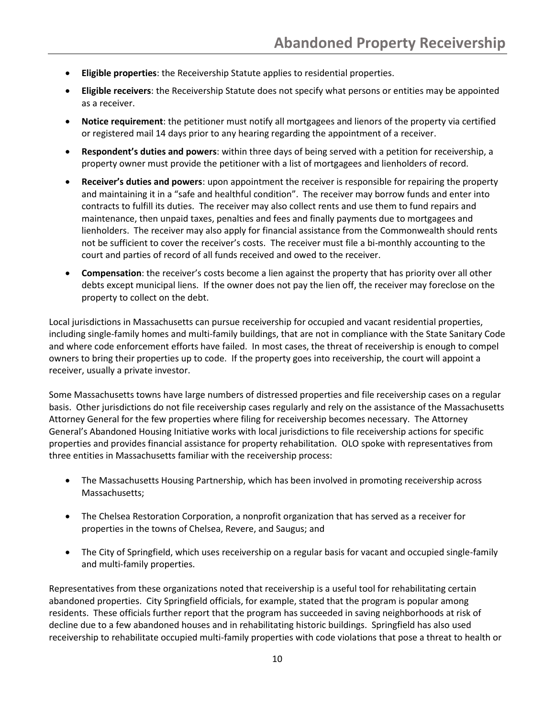- **Eligible properties**: the Receivership Statute applies to residential properties.
- **Eligible receivers**: the Receivership Statute does not specify what persons or entities may be appointed as a receiver.
- **Notice requirement**: the petitioner must notify all mortgagees and lienors of the property via certified or registered mail 14 days prior to any hearing regarding the appointment of a receiver.
- **Respondent's duties and powers**: within three days of being served with a petition for receivership, a property owner must provide the petitioner with a list of mortgagees and lienholders of record.
- **Receiver's duties and powers**: upon appointment the receiver is responsible for repairing the property and maintaining it in a "safe and healthful condition". The receiver may borrow funds and enter into contracts to fulfill its duties. The receiver may also collect rents and use them to fund repairs and maintenance, then unpaid taxes, penalties and fees and finally payments due to mortgagees and lienholders. The receiver may also apply for financial assistance from the Commonwealth should rents not be sufficient to cover the receiver's costs. The receiver must file a bi-monthly accounting to the court and parties of record of all funds received and owed to the receiver.
- **Compensation**: the receiver's costs become a lien against the property that has priority over all other debts except municipal liens. If the owner does not pay the lien off, the receiver may foreclose on the property to collect on the debt.

Local jurisdictions in Massachusetts can pursue receivership for occupied and vacant residential properties, including single-family homes and multi-family buildings, that are not in compliance with the State Sanitary Code and where code enforcement efforts have failed. In most cases, the threat of receivership is enough to compel owners to bring their properties up to code. If the property goes into receivership, the court will appoint a receiver, usually a private investor.

Some Massachusetts towns have large numbers of distressed properties and file receivership cases on a regular basis. Other jurisdictions do not file receivership cases regularly and rely on the assistance of the Massachusetts Attorney General for the few properties where filing for receivership becomes necessary. The Attorney General's Abandoned Housing Initiative works with local jurisdictions to file receivership actions for specific properties and provides financial assistance for property rehabilitation. OLO spoke with representatives from three entities in Massachusetts familiar with the receivership process:

- The Massachusetts Housing Partnership, which has been involved in promoting receivership across Massachusetts;
- The Chelsea Restoration Corporation, a nonprofit organization that has served as a receiver for properties in the towns of Chelsea, Revere, and Saugus; and
- The City of Springfield, which uses receivership on a regular basis for vacant and occupied single-family and multi-family properties.

Representatives from these organizations noted that receivership is a useful tool for rehabilitating certain abandoned properties. City Springfield officials, for example, stated that the program is popular among residents. These officials further report that the program has succeeded in saving neighborhoods at risk of decline due to a few abandoned houses and in rehabilitating historic buildings. Springfield has also used receivership to rehabilitate occupied multi-family properties with code violations that pose a threat to health or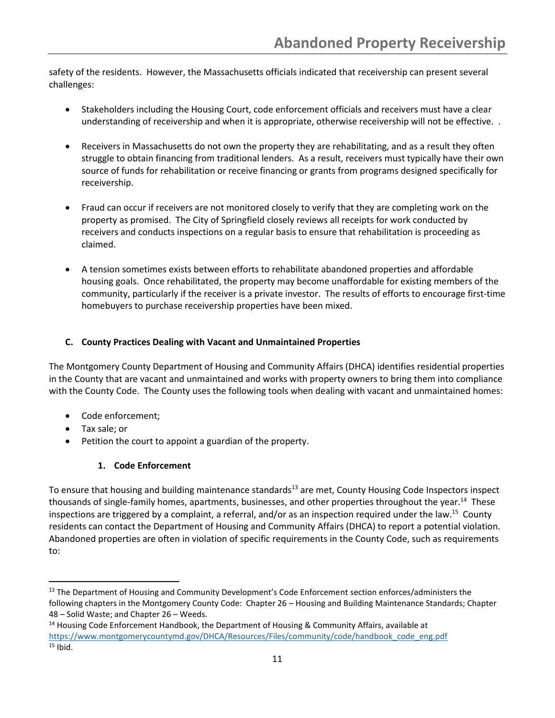safety of the residents. However, the Massachusetts officials indicated that receivership can present several challenges:

- Stakeholders including the Housing Court, code enforcement officials and receivers must have a clear understanding of receivership and when it is appropriate, otherwise receivership will not be effective. .
- Receivers in Massachusetts do not own the property they are rehabilitating, and as a result they often struggle to obtain financing from traditional lenders. As a result, receivers must typically have their own source of funds for rehabilitation or receive financing or grants from programs designed specifically for receivership.
- Fraud can occur if receivers are not monitored closely to verify that they are completing work on the property as promised. The City of Springfield closely reviews all receipts for work conducted by receivers and conducts inspections on a regular basis to ensure that rehabilitation is proceeding as claimed.
- A tension sometimes exists between efforts to rehabilitate abandoned properties and affordable housing goals. Once rehabilitated, the property may become unaffordable for existing members of the community, particularly if the receiver is a private investor. The results of efforts to encourage first-time homebuyers to purchase receivership properties have been mixed.

# **C. County Practices Dealing with Vacant and Unmaintained Properties**

The Montgomery County Department of Housing and Community Affairs (DHCA) identifies residential properties in the County that are vacant and unmaintained and works with property owners to bring them into compliance with the County Code. The County uses the following tools when dealing with vacant and unmaintained homes:

- Code enforcement;
- Tax sale; or
- Petition the court to appoint a guardian of the property.

# **1. Code Enforcement**

To ensure that housing and building maintenance standards<sup>13</sup> are met, County Housing Code Inspectors inspect thousands of single-family homes, apartments, businesses, and other properties throughout the year.<sup>14</sup> These inspections are triggered by a complaint, a referral, and/or as an inspection required under the law.<sup>15</sup> County residents can contact the Department of Housing and Community Affairs (DHCA) to report a potential violation. Abandoned properties are often in violation of specific requirements in the County Code, such as requirements to:

<sup>&</sup>lt;sup>13</sup> The Department of Housing and Community Development's Code Enforcement section enforces/administers the following chapters in the Montgomery County Code: Chapter 26 – Housing and Building Maintenance Standards; Chapter 48 – Solid Waste; and Chapter 26 – Weeds.

<sup>&</sup>lt;sup>14</sup> Housing Code Enforcement Handbook, the Department of Housing & Community Affairs, available at [https://www.montgomerycountymd.gov/DHCA/Resources/Files/community/code/handbook\\_code\\_eng.pdf](https://www.montgomerycountymd.gov/DHCA/Resources/Files/community/code/handbook_code_eng.pdf)  $15$  Ibid.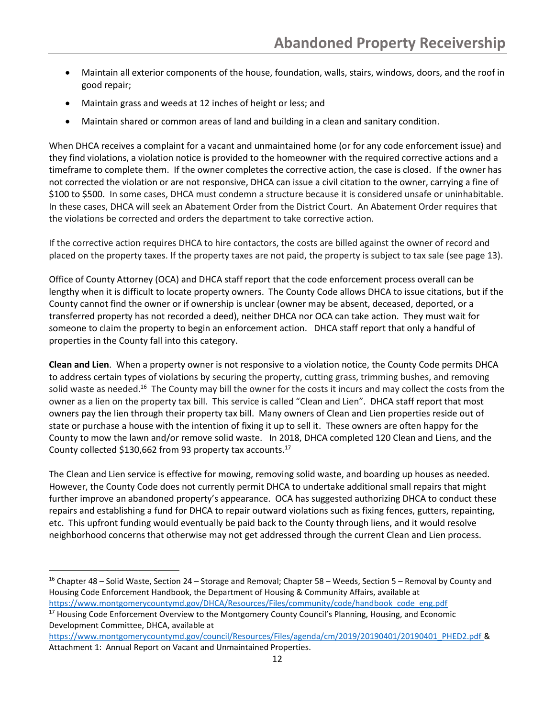- Maintain all exterior components of the house, foundation, walls, stairs, windows, doors, and the roof in good repair;
- Maintain grass and weeds at 12 inches of height or less; and
- Maintain shared or common areas of land and building in a clean and sanitary condition.

When DHCA receives a complaint for a vacant and unmaintained home (or for any code enforcement issue) and they find violations, a violation notice is provided to the homeowner with the required corrective actions and a timeframe to complete them. If the owner completes the corrective action, the case is closed. If the owner has not corrected the violation or are not responsive, DHCA can issue a civil citation to the owner, carrying a fine of \$100 to \$500. In some cases, DHCA must condemn a structure because it is considered unsafe or uninhabitable. In these cases, DHCA will seek an Abatement Order from the District Court. An Abatement Order requires that the violations be corrected and orders the department to take corrective action.

If the corrective action requires DHCA to hire contactors, the costs are billed against the owner of record and placed on the property taxes. If the property taxes are not paid, the property is subject to tax sale (see page 13).

Office of County Attorney (OCA) and DHCA staff report that the code enforcement process overall can be lengthy when it is difficult to locate property owners. The County Code allows DHCA to issue citations, but if the County cannot find the owner or if ownership is unclear (owner may be absent, deceased, deported, or a transferred property has not recorded a deed), neither DHCA nor OCA can take action. They must wait for someone to claim the property to begin an enforcement action. DHCA staff report that only a handful of properties in the County fall into this category.

**Clean and Lien**. When a property owner is not responsive to a violation notice, the County Code permits DHCA to address certain types of violations by securing the property, cutting grass, trimming bushes, and removing solid waste as needed.<sup>16</sup> The County may bill the owner for the costs it incurs and may collect the costs from the owner as a lien on the property tax bill. This service is called "Clean and Lien". DHCA staff report that most owners pay the lien through their property tax bill. Many owners of Clean and Lien properties reside out of state or purchase a house with the intention of fixing it up to sell it. These owners are often happy for the County to mow the lawn and/or remove solid waste. In 2018, DHCA completed 120 Clean and Liens, and the County collected \$130,662 from 93 property tax accounts. 17

The Clean and Lien service is effective for mowing, removing solid waste, and boarding up houses as needed. However, the County Code does not currently permit DHCA to undertake additional small repairs that might further improve an abandoned property's appearance. OCA has suggested authorizing DHCA to conduct these repairs and establishing a fund for DHCA to repair outward violations such as fixing fences, gutters, repainting, etc. This upfront funding would eventually be paid back to the County through liens, and it would resolve neighborhood concerns that otherwise may not get addressed through the current Clean and Lien process.

<sup>16</sup> Chapter 48 – Solid Waste, Section 24 – Storage and Removal; Chapter 58 – Weeds, Section 5 – Removal by County and Housing Code Enforcement Handbook, the Department of Housing & Community Affairs, available at [https://www.montgomerycountymd.gov/DHCA/Resources/Files/community/code/handbook\\_code\\_eng.pdf](https://www.montgomerycountymd.gov/DHCA/Resources/Files/community/code/handbook_code_eng.pdf)

<sup>&</sup>lt;sup>17</sup> Housing Code Enforcement Overview to the Montgomery County Council's Planning, Housing, and Economic Development Committee, DHCA, available at

[https://www.montgomerycountymd.gov/council/Resources/Files/agenda/cm/2019/20190401/20190401\\_PHED2.pdf](https://www.montgomerycountymd.gov/council/Resources/Files/agenda/cm/2019/20190401/20190401_PHED2.pdf) & Attachment 1: Annual Report on Vacant and Unmaintained Properties.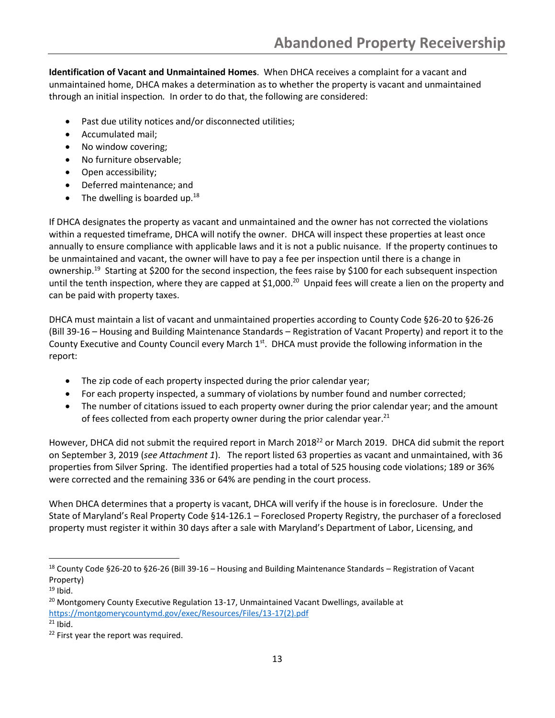**Identification of Vacant and Unmaintained Homes**. When DHCA receives a complaint for a vacant and unmaintained home, DHCA makes a determination as to whether the property is vacant and unmaintained through an initial inspection*.* In order to do that, the following are considered:

- Past due utility notices and/or disconnected utilities;
- Accumulated mail;
- No window covering;
- No furniture observable;
- Open accessibility;
- Deferred maintenance; and
- The dwelling is boarded up. $18$

If DHCA designates the property as vacant and unmaintained and the owner has not corrected the violations within a requested timeframe, DHCA will notify the owner. DHCA will inspect these properties at least once annually to ensure compliance with applicable laws and it is not a public nuisance. If the property continues to be unmaintained and vacant, the owner will have to pay a fee per inspection until there is a change in ownership.<sup>19</sup> Starting at \$200 for the second inspection, the fees raise by \$100 for each subsequent inspection until the tenth inspection, where they are capped at \$1,000.<sup>20</sup> Unpaid fees will create a lien on the property and can be paid with property taxes.

DHCA must maintain a list of vacant and unmaintained properties according to County Code §26-20 to §26-26 (Bill 39-16 – Housing and Building Maintenance Standards – Registration of Vacant Property) and report it to the County Executive and County Council every March 1<sup>st</sup>. DHCA must provide the following information in the report:

- The zip code of each property inspected during the prior calendar year;
- For each property inspected, a summary of violations by number found and number corrected;
- The number of citations issued to each property owner during the prior calendar year; and the amount of fees collected from each property owner during the prior calendar year. $^{21}$

However, DHCA did not submit the required report in March 2018<sup>22</sup> or March 2019. DHCA did submit the report on September 3, 2019 (*see Attachment 1*). The report listed 63 properties as vacant and unmaintained, with 36 properties from Silver Spring. The identified properties had a total of 525 housing code violations; 189 or 36% were corrected and the remaining 336 or 64% are pending in the court process.

When DHCA determines that a property is vacant, DHCA will verify if the house is in foreclosure. Under the State of Maryland's Real Property Code §14-126.1 – Foreclosed Property Registry, the purchaser of a foreclosed property must register it within 30 days after a sale with Maryland's Department of Labor, Licensing, and

<sup>18</sup> County Code §26-20 to §26-26 (Bill 39-16 – Housing and Building Maintenance Standards – Registration of Vacant Property)

 $19$  Ibid.

<sup>&</sup>lt;sup>20</sup> Montgomery County Executive Regulation 13-17, Unmaintained Vacant Dwellings, available at [https://montgomerycountymd.gov/exec/Resources/Files/13-17\(2\).pdf](https://montgomerycountymd.gov/exec/Resources/Files/13-17(2).pdf)

 $21$  Ibid.

<sup>&</sup>lt;sup>22</sup> First year the report was required.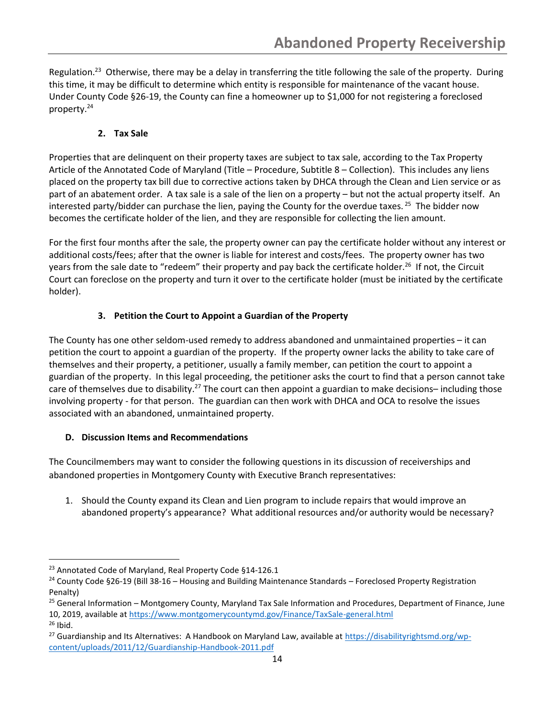Regulation.<sup>23</sup> Otherwise, there may be a delay in transferring the title following the sale of the property. During this time, it may be difficult to determine which entity is responsible for maintenance of the vacant house. Under County Code §26-19, the County can fine a homeowner up to \$1,000 for not registering a foreclosed property.<sup>24</sup>

# **2. Tax Sale**

Properties that are delinquent on their property taxes are subject to tax sale, according to the Tax Property Article of the Annotated Code of Maryland (Title – Procedure, Subtitle 8 – Collection). This includes any liens placed on the property tax bill due to corrective actions taken by DHCA through the Clean and Lien service or as part of an abatement order. A tax sale is a sale of the lien on a property – but not the actual property itself. An interested party/bidder can purchase the lien, paying the County for the overdue taxes.<sup>25</sup> The bidder now becomes the certificate holder of the lien, and they are responsible for collecting the lien amount.

For the first four months after the sale, the property owner can pay the certificate holder without any interest or additional costs/fees; after that the owner is liable for interest and costs/fees. The property owner has two years from the sale date to "redeem" their property and pay back the certificate holder.<sup>26</sup> If not, the Circuit Court can foreclose on the property and turn it over to the certificate holder (must be initiated by the certificate holder).

# **3. Petition the Court to Appoint a Guardian of the Property**

The County has one other seldom-used remedy to address abandoned and unmaintained properties – it can petition the court to appoint a guardian of the property. If the property owner lacks the ability to take care of themselves and their property, a petitioner, usually a family member, can petition the court to appoint a guardian of the property. In this legal proceeding, the petitioner asks the court to find that a person cannot take care of themselves due to disability.<sup>27</sup> The court can then appoint a guardian to make decisions-including those involving property - for that person. The guardian can then work with DHCA and OCA to resolve the issues associated with an abandoned, unmaintained property.

## **D. Discussion Items and Recommendations**

The Councilmembers may want to consider the following questions in its discussion of receiverships and abandoned properties in Montgomery County with Executive Branch representatives:

1. Should the County expand its Clean and Lien program to include repairs that would improve an abandoned property's appearance? What additional resources and/or authority would be necessary?

<sup>&</sup>lt;sup>23</sup> Annotated Code of Maryland, Real Property Code §14-126.1

<sup>&</sup>lt;sup>24</sup> County Code §26-19 (Bill 38-16 – Housing and Building Maintenance Standards – Foreclosed Property Registration Penalty)

<sup>&</sup>lt;sup>25</sup> General Information – Montgomery County, Maryland Tax Sale Information and Procedures, Department of Finance, June 10, 2019, available a[t https://www.montgomerycountymd.gov/Finance/TaxSale-general.html](https://www.montgomerycountymd.gov/Finance/TaxSale-general.html)  $26$  Ibid.

<sup>&</sup>lt;sup>27</sup> Guardianship and Its Alternatives: A Handbook on Maryland Law, available at [https://disabilityrightsmd.org/wp](https://disabilityrightsmd.org/wp-content/uploads/2011/12/Guardianship-Handbook-2011.pdf)[content/uploads/2011/12/Guardianship-Handbook-2011.pdf](https://disabilityrightsmd.org/wp-content/uploads/2011/12/Guardianship-Handbook-2011.pdf)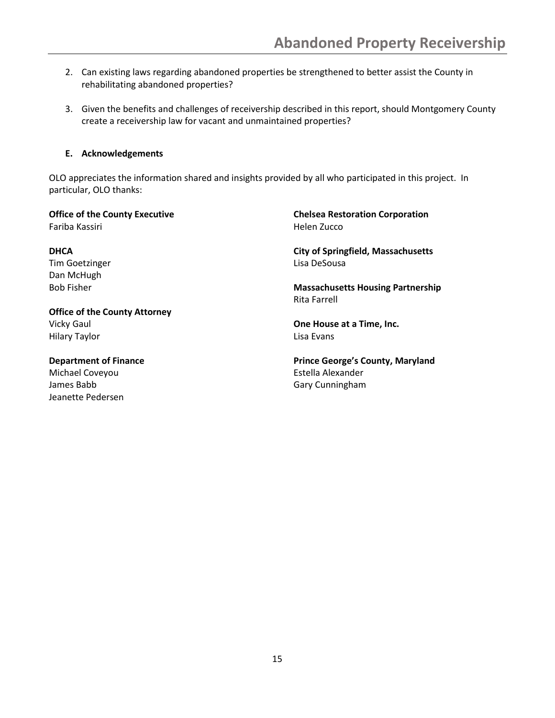- 2. Can existing laws regarding abandoned properties be strengthened to better assist the County in rehabilitating abandoned properties?
- 3. Given the benefits and challenges of receivership described in this report, should Montgomery County create a receivership law for vacant and unmaintained properties?

### **E. Acknowledgements**

OLO appreciates the information shared and insights provided by all who participated in this project. In particular, OLO thanks:

**Office of the County Executive** Fariba Kassiri

**DHCA** Tim Goetzinger Dan McHugh Bob Fisher

**Office of the County Attorney** Vicky Gaul Hilary Taylor

**Department of Finance** Michael Coveyou James Babb Jeanette Pedersen

**Chelsea Restoration Corporation** Helen Zucco

**City of Springfield, Massachusetts** Lisa DeSousa

**Massachusetts Housing Partnership** Rita Farrell

**One House at a Time, Inc.** Lisa Evans

**Prince George's County, Maryland** Estella Alexander Gary Cunningham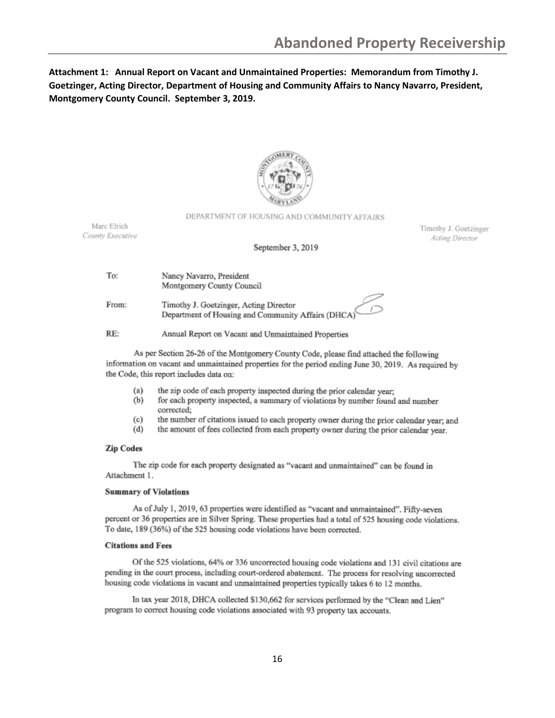# **Attachment 1: Annual Report on Vacant and Unmaintained Properties: Memorandum from Timothy J. Goetzinger, Acting Director, Department of Housing and Community Affairs to Nancy Navarro, President, Montgomery County Council. September 3, 2019.**



#### DEPARTMENT OF HOUSING AND COMMUNITY AFFAIRS

Marc Elrich County Executive

Timothy J. Goetzinger Acting Director

#### September 3, 2019

| To: | Nancy Navarro, President  |
|-----|---------------------------|
|     | Montgomery County Council |

From: Timothy J. Goetzinger, Acting Director Department of Housing and Community Affairs (DHC/

RE: Annual Report on Vacant and Unmaintained Properties

As per Section 26-26 of the Montgomery County Code, please find attached the following information on vacant and unmaintained properties for the period ending June 30, 2019. As required by the Code, this report includes data on:

- the zip code of each property inspected during the prior calendar year;  $(a)$
- for each property inspected, a summary of violations by number found and number  $(b)$ corrected:
- $(c)$ the number of citations issued to each property owner during the prior calendar year; and
- $(d)$ the amount of fees collected from each property owner during the prior calendar year.

#### **Zip Codes**

The zip code for each property designated as "vacant and unmaintained" can be found in Attachment 1.

#### **Summary of Violations**

As of July 1, 2019, 63 properties were identified as "vacant and unmaintained". Fifty-seven percent or 36 properties are in Silver Spring. These properties had a total of 525 housing code violations. To date, 189 (36%) of the 525 housing code violations have been corrected.

#### **Citations and Fees**

Of the 525 violations, 64% or 336 uncorrected housing code violations and 131 civil citations are pending in the court process, including court-ordered abatement. The process for resolving uncorrected housing code violations in vacant and unmaintained properties typically takes 6 to 12 months.

In tax year 2018, DHCA collected \$130,662 for services performed by the "Clean and Lien" program to correct housing code violations associated with 93 property tax accounts.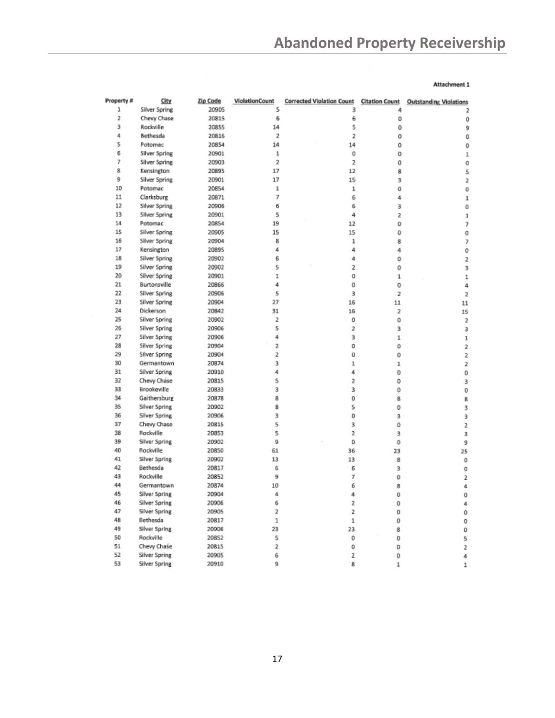#### Attachment 1

| Property # | City           | Zip Code       | ViolationCount | <b>Corrected Violation Count</b> | <b>Citation Count</b> | <b>Outstanding Violations</b> |
|------------|----------------|----------------|----------------|----------------------------------|-----------------------|-------------------------------|
| 1          | Silver Spring  | 20905          | 5              | 3                                | 4                     | 2                             |
| 2          | Chevy Chase    | 20815          | 6              | 6                                | 0                     | 0                             |
| 3          | Rockville      | 20855          | 14             | 5                                | 0                     | 9                             |
| 4          | Bethesda       | 20816          | $\overline{2}$ | 2                                | 0                     | 0                             |
| 5          | Potomac        | 20854          | 14             | 14                               | 0                     | 0                             |
| 6          | Silver Spring  | 20901          | 1              | 0                                | 0                     | 1                             |
| 7          | Silver Spring  | 20903          | 2              | $\overline{\mathbf{z}}$          | 0                     | 0                             |
| 8          | Kensington     | 20895          | 17             | 12                               | 8                     | 5                             |
| 9          | Silver Spring  | 20901          | 17             | 15                               | 3                     | 2                             |
| 10         | Potomac        | 20854          | 1              | 1                                | 0                     | 0                             |
| $11$       | Clarksburg     | 20871          | 7              | 6                                | 4                     | 1                             |
| 12         | Silver Spring  | 20906          | 6              | 6                                | 3                     | 0                             |
| 13         | Silver Spring  | 20901          | 5              | 4                                | 2                     | 1                             |
| 14         | Potomac        | 20854          | 19             | 12                               | o                     | 7                             |
| 15         | Silver Spring  | 20905          | 15             | 15                               | 0                     | 0                             |
| 16         | Sillver Spring | 20904          | 8              | $\mathbf{1}$                     | 8                     | 7                             |
| 17         | Kensington     | 20895          | 4              | 4                                | 4                     | 0                             |
| 18         | Silver Spring  | 20902          | 6              | 4                                | 0                     | 2                             |
| 19         | Silver Spring  | 20902          | 5              | 2                                | 0                     | 3                             |
| 20         | Silver Spring  | 20901          | 1              | 0                                | 1                     |                               |
| 21         | Burtonsville   | 20866          | 4              | 0                                | 0                     | 1                             |
| 22         | Silver Spring  | 20906          | 5              | 3                                |                       | 4                             |
| 23         | Silver Spring  | 20904          | 27             | 16                               | 2<br>11               | 2                             |
| 24         | Dickerson      |                | 31             |                                  |                       | 11                            |
| 25         |                | 20842<br>20902 | 2              | 16                               | 2                     | 15                            |
|            | Silver Spring  |                | 5              | 0                                | ō                     | $\overline{\mathbf{2}}$       |
| 26         | Silver Spring  | 20906          |                | 2                                | 3                     | з                             |
| 27         | Silver Spring  | 20906          | 4              | з                                | 1                     | 1                             |
| 28         | Silver Spring  | 20904          | 2              | 0                                | o                     | 2                             |
| 29         | Silver Spring  | 20904          | 2              | o                                | o                     | 2                             |
| 30         | Germantown     | 20874          | 3              | 1                                | 1                     | 2                             |
| 31         | Silver Spring  | 20910          | 4              | 4                                | 0                     | 0                             |
| 32         | Chevy Chase    | 20815          | 5              | 2                                | 0                     | 3                             |
| 33         | Brookeville    | 20833          | 3              | 3                                | 0                     | 0                             |
| 34         | Gaithersburg   | 20878          | 8              | 0                                | 8                     | 8                             |
| 35         | Silver Spring  | 20902          | 8              | 5                                | 0                     | 3                             |
| 36         | Silver Spring  | 20906          | 3              | 0                                | 3                     | 3                             |
| 37         | Chevy Chase    | 20815          | 5              | 3                                | 0                     | 2                             |
| 38         | Rockville      | 20853          | 5              | 2                                | 3                     | 3                             |
| 39         | Silver Spring  | 20902          | 9              | o                                | 0                     | 9                             |
| 40         | Rockville      | 20850          | 61             | 36                               | 23                    | 25                            |
| 41         | Silver Spring  | 20902          | 13             | 13                               | 8                     | Ô                             |
| 42         | Bethesda       | 20817          | 6              | б                                | 3                     | 0                             |
| 43         | Rockville      | 20852          | 9              | 7                                | 0                     | 2                             |
| 44         | Germantown     | 20874          | 10             | б                                | 8                     | 4                             |
| 45         | Silver Spring  | 20904          | 4              | 4                                | Ů                     | 0                             |
| 46         | Silver Spring  | 20906          | 6              | 2                                | 0                     | 4                             |
| 47         | Silver Spring  | 20905          | 2              | 2                                | 0                     | 0                             |
| 48         | Bethesda       | 20817          | $\mathbf 1$    | 1                                | 0                     | 0                             |
| 49         | Silver Spring  | 20906          | 23             | 23                               | 8                     | 0                             |
| 50         | Rockville      | 20852          | 5              | 0                                | 0                     | 5                             |
| 51         | Chevy Chase    | 20815          | 2              | 0                                | 0                     | 2                             |
| 52         | Silver Spring  | 20905          | 6              | 2                                | O                     | 4                             |
| 53         | Silver Soring  | 20910          | 9              | g                                | 1                     | q.                            |